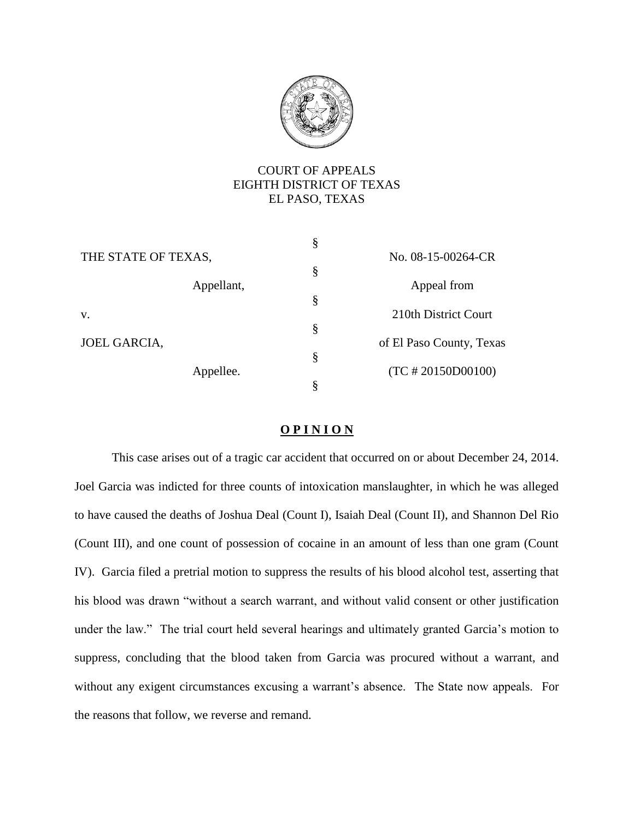

# COURT OF APPEALS EIGHTH DISTRICT OF TEXAS EL PASO, TEXAS

|                     | § |                          |
|---------------------|---|--------------------------|
| THE STATE OF TEXAS, |   | No. 08-15-00264-CR       |
|                     | § |                          |
| Appellant,          |   | Appeal from              |
|                     | § |                          |
| V.                  |   | 210th District Court     |
|                     | Ş |                          |
| JOEL GARCIA,        |   | of El Paso County, Texas |
|                     | Ş |                          |
| Appellee.           |   | $(TC \# 20150D00100)$    |
|                     | 8 |                          |

# **O P I N I O N**

This case arises out of a tragic car accident that occurred on or about December 24, 2014. Joel Garcia was indicted for three counts of intoxication manslaughter, in which he was alleged to have caused the deaths of Joshua Deal (Count I), Isaiah Deal (Count II), and Shannon Del Rio (Count III), and one count of possession of cocaine in an amount of less than one gram (Count IV). Garcia filed a pretrial motion to suppress the results of his blood alcohol test, asserting that his blood was drawn "without a search warrant, and without valid consent or other justification under the law." The trial court held several hearings and ultimately granted Garcia's motion to suppress, concluding that the blood taken from Garcia was procured without a warrant, and without any exigent circumstances excusing a warrant's absence. The State now appeals. For the reasons that follow, we reverse and remand.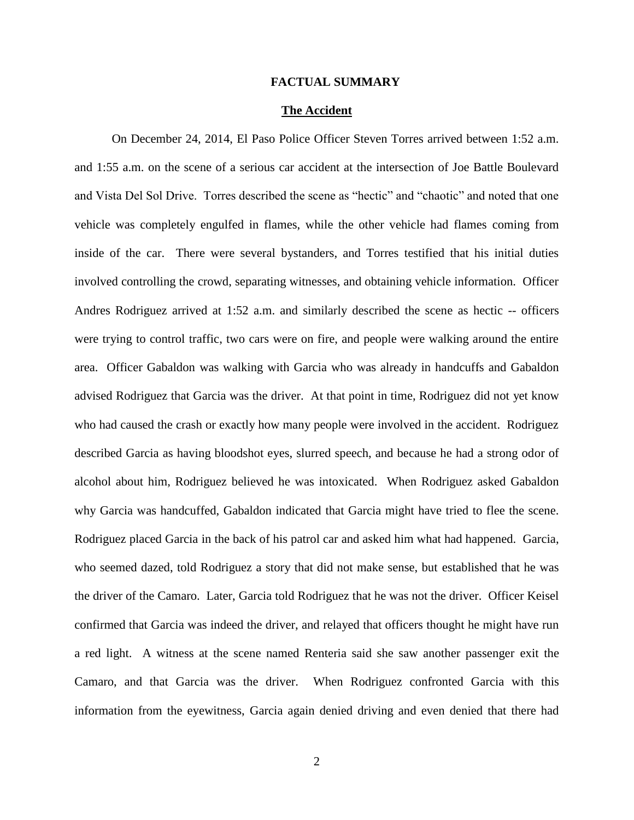### **FACTUAL SUMMARY**

## **The Accident**

On December 24, 2014, El Paso Police Officer Steven Torres arrived between 1:52 a.m. and 1:55 a.m. on the scene of a serious car accident at the intersection of Joe Battle Boulevard and Vista Del Sol Drive. Torres described the scene as "hectic" and "chaotic" and noted that one vehicle was completely engulfed in flames, while the other vehicle had flames coming from inside of the car. There were several bystanders, and Torres testified that his initial duties involved controlling the crowd, separating witnesses, and obtaining vehicle information. Officer Andres Rodriguez arrived at 1:52 a.m. and similarly described the scene as hectic -- officers were trying to control traffic, two cars were on fire, and people were walking around the entire area. Officer Gabaldon was walking with Garcia who was already in handcuffs and Gabaldon advised Rodriguez that Garcia was the driver. At that point in time, Rodriguez did not yet know who had caused the crash or exactly how many people were involved in the accident. Rodriguez described Garcia as having bloodshot eyes, slurred speech, and because he had a strong odor of alcohol about him, Rodriguez believed he was intoxicated. When Rodriguez asked Gabaldon why Garcia was handcuffed, Gabaldon indicated that Garcia might have tried to flee the scene. Rodriguez placed Garcia in the back of his patrol car and asked him what had happened. Garcia, who seemed dazed, told Rodriguez a story that did not make sense, but established that he was the driver of the Camaro. Later, Garcia told Rodriguez that he was not the driver. Officer Keisel confirmed that Garcia was indeed the driver, and relayed that officers thought he might have run a red light. A witness at the scene named Renteria said she saw another passenger exit the Camaro, and that Garcia was the driver. When Rodriguez confronted Garcia with this information from the eyewitness, Garcia again denied driving and even denied that there had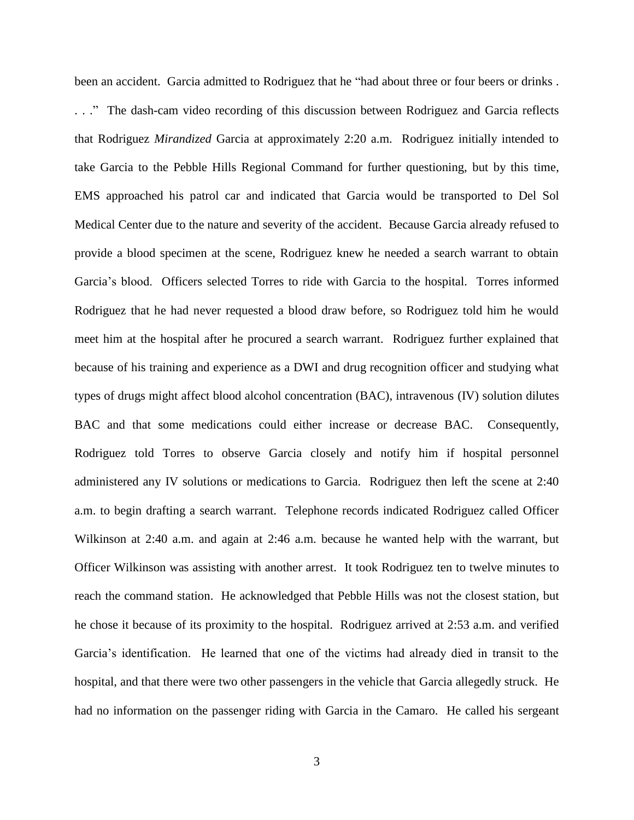been an accident. Garcia admitted to Rodriguez that he "had about three or four beers or drinks . . . ." The dash-cam video recording of this discussion between Rodriguez and Garcia reflects that Rodriguez *Mirandized* Garcia at approximately 2:20 a.m. Rodriguez initially intended to take Garcia to the Pebble Hills Regional Command for further questioning, but by this time, EMS approached his patrol car and indicated that Garcia would be transported to Del Sol Medical Center due to the nature and severity of the accident. Because Garcia already refused to provide a blood specimen at the scene, Rodriguez knew he needed a search warrant to obtain Garcia's blood. Officers selected Torres to ride with Garcia to the hospital. Torres informed Rodriguez that he had never requested a blood draw before, so Rodriguez told him he would meet him at the hospital after he procured a search warrant. Rodriguez further explained that because of his training and experience as a DWI and drug recognition officer and studying what types of drugs might affect blood alcohol concentration (BAC), intravenous (IV) solution dilutes BAC and that some medications could either increase or decrease BAC. Consequently, Rodriguez told Torres to observe Garcia closely and notify him if hospital personnel administered any IV solutions or medications to Garcia. Rodriguez then left the scene at 2:40 a.m. to begin drafting a search warrant. Telephone records indicated Rodriguez called Officer Wilkinson at 2:40 a.m. and again at 2:46 a.m. because he wanted help with the warrant, but Officer Wilkinson was assisting with another arrest. It took Rodriguez ten to twelve minutes to reach the command station. He acknowledged that Pebble Hills was not the closest station, but he chose it because of its proximity to the hospital. Rodriguez arrived at 2:53 a.m. and verified Garcia's identification. He learned that one of the victims had already died in transit to the hospital, and that there were two other passengers in the vehicle that Garcia allegedly struck. He had no information on the passenger riding with Garcia in the Camaro. He called his sergeant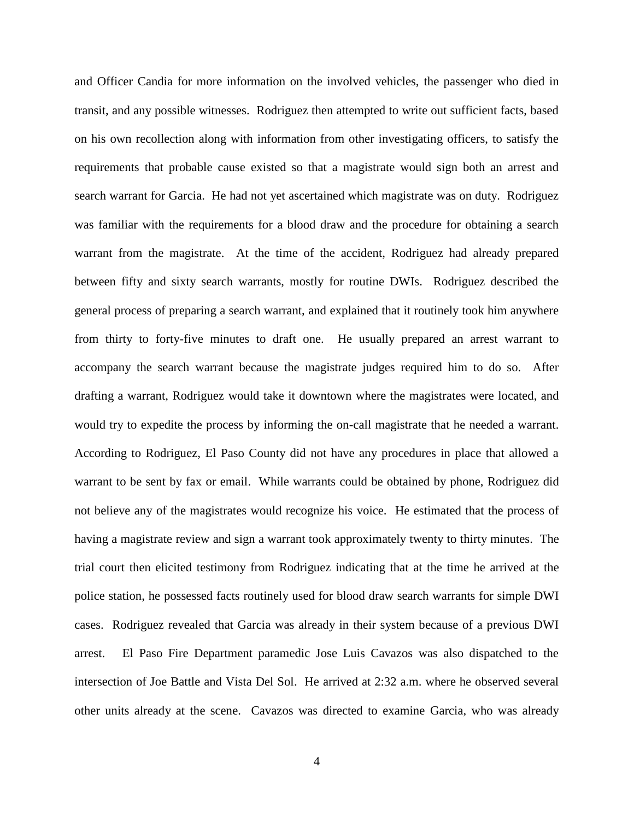and Officer Candia for more information on the involved vehicles, the passenger who died in transit, and any possible witnesses. Rodriguez then attempted to write out sufficient facts, based on his own recollection along with information from other investigating officers, to satisfy the requirements that probable cause existed so that a magistrate would sign both an arrest and search warrant for Garcia. He had not yet ascertained which magistrate was on duty. Rodriguez was familiar with the requirements for a blood draw and the procedure for obtaining a search warrant from the magistrate. At the time of the accident, Rodriguez had already prepared between fifty and sixty search warrants, mostly for routine DWIs. Rodriguez described the general process of preparing a search warrant, and explained that it routinely took him anywhere from thirty to forty-five minutes to draft one. He usually prepared an arrest warrant to accompany the search warrant because the magistrate judges required him to do so. After drafting a warrant, Rodriguez would take it downtown where the magistrates were located, and would try to expedite the process by informing the on-call magistrate that he needed a warrant. According to Rodriguez, El Paso County did not have any procedures in place that allowed a warrant to be sent by fax or email. While warrants could be obtained by phone, Rodriguez did not believe any of the magistrates would recognize his voice. He estimated that the process of having a magistrate review and sign a warrant took approximately twenty to thirty minutes. The trial court then elicited testimony from Rodriguez indicating that at the time he arrived at the police station, he possessed facts routinely used for blood draw search warrants for simple DWI cases. Rodriguez revealed that Garcia was already in their system because of a previous DWI arrest. El Paso Fire Department paramedic Jose Luis Cavazos was also dispatched to the intersection of Joe Battle and Vista Del Sol. He arrived at 2:32 a.m. where he observed several other units already at the scene. Cavazos was directed to examine Garcia, who was already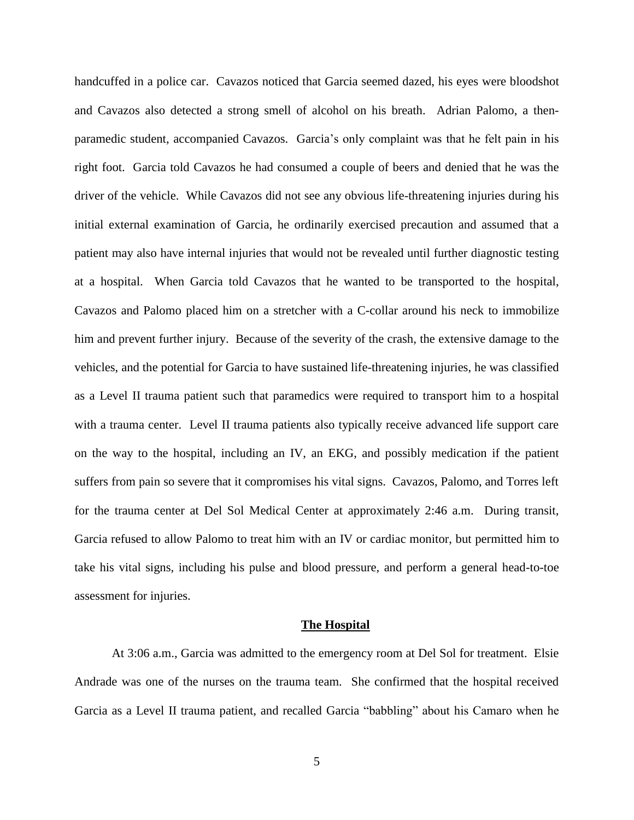handcuffed in a police car. Cavazos noticed that Garcia seemed dazed, his eyes were bloodshot and Cavazos also detected a strong smell of alcohol on his breath. Adrian Palomo, a thenparamedic student, accompanied Cavazos. Garcia's only complaint was that he felt pain in his right foot. Garcia told Cavazos he had consumed a couple of beers and denied that he was the driver of the vehicle. While Cavazos did not see any obvious life-threatening injuries during his initial external examination of Garcia, he ordinarily exercised precaution and assumed that a patient may also have internal injuries that would not be revealed until further diagnostic testing at a hospital. When Garcia told Cavazos that he wanted to be transported to the hospital, Cavazos and Palomo placed him on a stretcher with a C-collar around his neck to immobilize him and prevent further injury. Because of the severity of the crash, the extensive damage to the vehicles, and the potential for Garcia to have sustained life-threatening injuries, he was classified as a Level II trauma patient such that paramedics were required to transport him to a hospital with a trauma center. Level II trauma patients also typically receive advanced life support care on the way to the hospital, including an IV, an EKG, and possibly medication if the patient suffers from pain so severe that it compromises his vital signs. Cavazos, Palomo, and Torres left for the trauma center at Del Sol Medical Center at approximately 2:46 a.m. During transit, Garcia refused to allow Palomo to treat him with an IV or cardiac monitor, but permitted him to take his vital signs, including his pulse and blood pressure, and perform a general head-to-toe assessment for injuries.

#### **The Hospital**

At 3:06 a.m., Garcia was admitted to the emergency room at Del Sol for treatment. Elsie Andrade was one of the nurses on the trauma team. She confirmed that the hospital received Garcia as a Level II trauma patient, and recalled Garcia "babbling" about his Camaro when he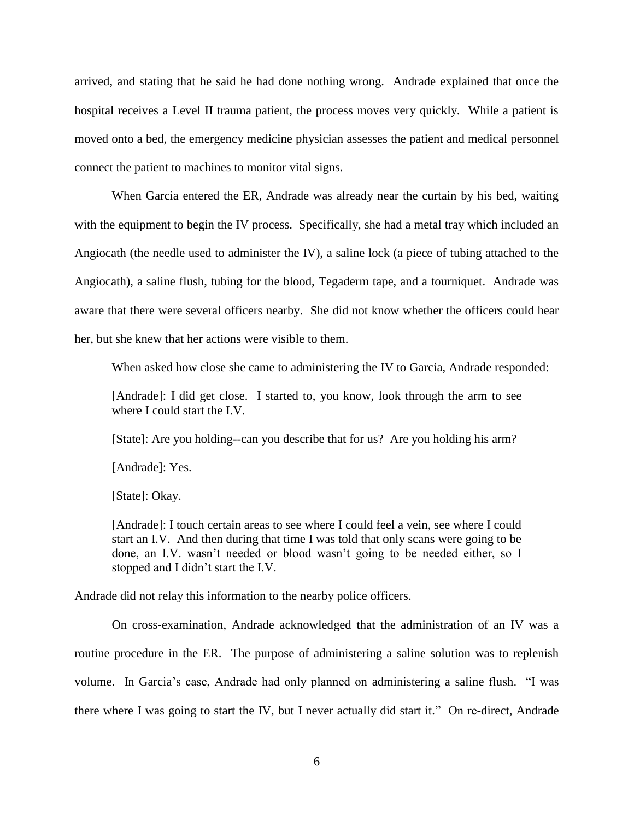arrived, and stating that he said he had done nothing wrong. Andrade explained that once the hospital receives a Level II trauma patient, the process moves very quickly. While a patient is moved onto a bed, the emergency medicine physician assesses the patient and medical personnel connect the patient to machines to monitor vital signs.

When Garcia entered the ER, Andrade was already near the curtain by his bed, waiting with the equipment to begin the IV process. Specifically, she had a metal tray which included an Angiocath (the needle used to administer the IV), a saline lock (a piece of tubing attached to the Angiocath), a saline flush, tubing for the blood, Tegaderm tape, and a tourniquet. Andrade was aware that there were several officers nearby. She did not know whether the officers could hear her, but she knew that her actions were visible to them.

When asked how close she came to administering the IV to Garcia, Andrade responded:

[Andrade]: I did get close. I started to, you know, look through the arm to see where I could start the I.V.

[State]: Are you holding--can you describe that for us? Are you holding his arm?

[Andrade]: Yes.

[State]: Okay.

[Andrade]: I touch certain areas to see where I could feel a vein, see where I could start an I.V. And then during that time I was told that only scans were going to be done, an I.V. wasn't needed or blood wasn't going to be needed either, so I stopped and I didn't start the I.V.

Andrade did not relay this information to the nearby police officers.

On cross-examination, Andrade acknowledged that the administration of an IV was a routine procedure in the ER. The purpose of administering a saline solution was to replenish volume. In Garcia's case, Andrade had only planned on administering a saline flush. "I was there where I was going to start the IV, but I never actually did start it." On re-direct, Andrade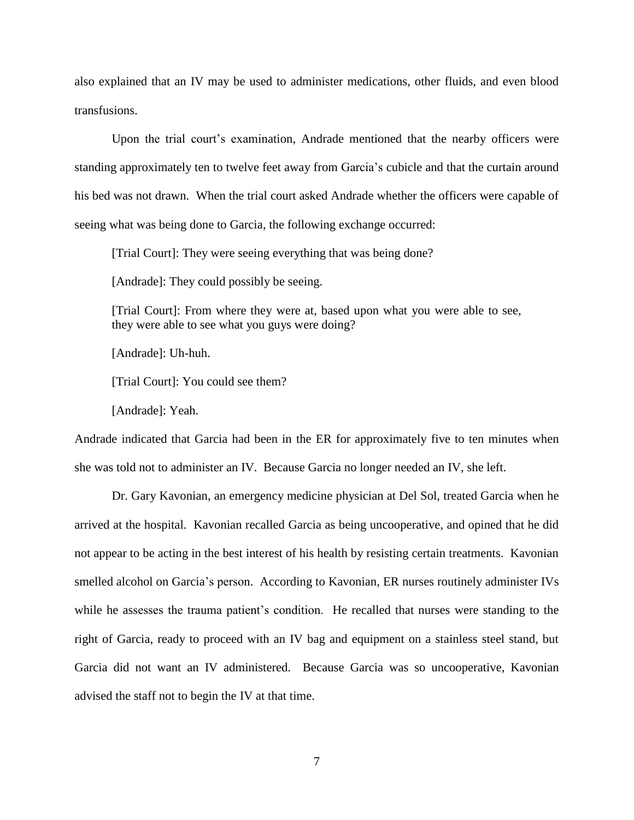also explained that an IV may be used to administer medications, other fluids, and even blood transfusions.

Upon the trial court's examination, Andrade mentioned that the nearby officers were standing approximately ten to twelve feet away from Garcia's cubicle and that the curtain around his bed was not drawn. When the trial court asked Andrade whether the officers were capable of seeing what was being done to Garcia, the following exchange occurred:

[Trial Court]: They were seeing everything that was being done?

[Andrade]: They could possibly be seeing.

[Trial Court]: From where they were at, based upon what you were able to see, they were able to see what you guys were doing?

[Andrade]: Uh-huh.

[Trial Court]: You could see them?

[Andrade]: Yeah.

Andrade indicated that Garcia had been in the ER for approximately five to ten minutes when she was told not to administer an IV. Because Garcia no longer needed an IV, she left.

Dr. Gary Kavonian, an emergency medicine physician at Del Sol, treated Garcia when he arrived at the hospital. Kavonian recalled Garcia as being uncooperative, and opined that he did not appear to be acting in the best interest of his health by resisting certain treatments. Kavonian smelled alcohol on Garcia's person. According to Kavonian, ER nurses routinely administer IVs while he assesses the trauma patient's condition. He recalled that nurses were standing to the right of Garcia, ready to proceed with an IV bag and equipment on a stainless steel stand, but Garcia did not want an IV administered. Because Garcia was so uncooperative, Kavonian advised the staff not to begin the IV at that time.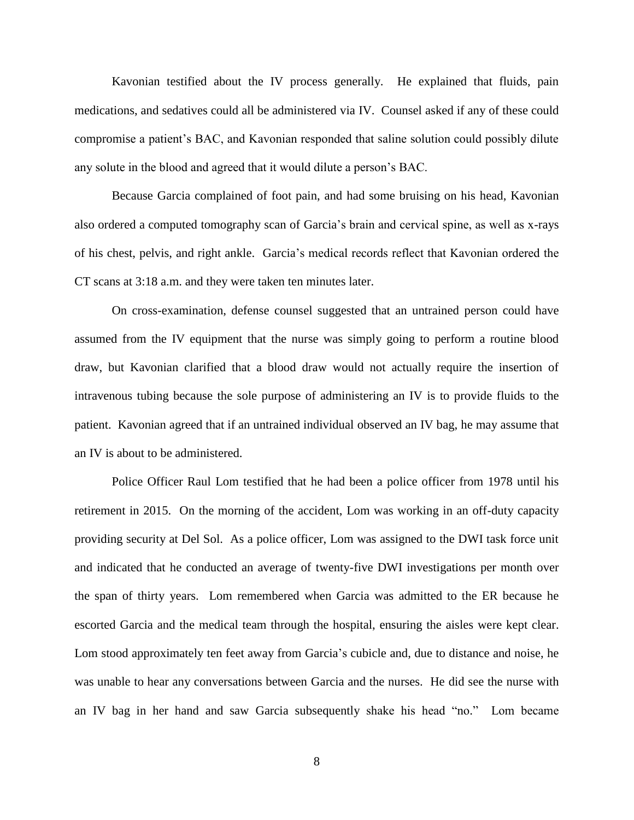Kavonian testified about the IV process generally. He explained that fluids, pain medications, and sedatives could all be administered via IV. Counsel asked if any of these could compromise a patient's BAC, and Kavonian responded that saline solution could possibly dilute any solute in the blood and agreed that it would dilute a person's BAC.

Because Garcia complained of foot pain, and had some bruising on his head, Kavonian also ordered a computed tomography scan of Garcia's brain and cervical spine, as well as x-rays of his chest, pelvis, and right ankle. Garcia's medical records reflect that Kavonian ordered the CT scans at 3:18 a.m. and they were taken ten minutes later.

On cross-examination, defense counsel suggested that an untrained person could have assumed from the IV equipment that the nurse was simply going to perform a routine blood draw, but Kavonian clarified that a blood draw would not actually require the insertion of intravenous tubing because the sole purpose of administering an IV is to provide fluids to the patient. Kavonian agreed that if an untrained individual observed an IV bag, he may assume that an IV is about to be administered.

Police Officer Raul Lom testified that he had been a police officer from 1978 until his retirement in 2015. On the morning of the accident, Lom was working in an off-duty capacity providing security at Del Sol. As a police officer, Lom was assigned to the DWI task force unit and indicated that he conducted an average of twenty-five DWI investigations per month over the span of thirty years. Lom remembered when Garcia was admitted to the ER because he escorted Garcia and the medical team through the hospital, ensuring the aisles were kept clear. Lom stood approximately ten feet away from Garcia's cubicle and, due to distance and noise, he was unable to hear any conversations between Garcia and the nurses. He did see the nurse with an IV bag in her hand and saw Garcia subsequently shake his head "no." Lom became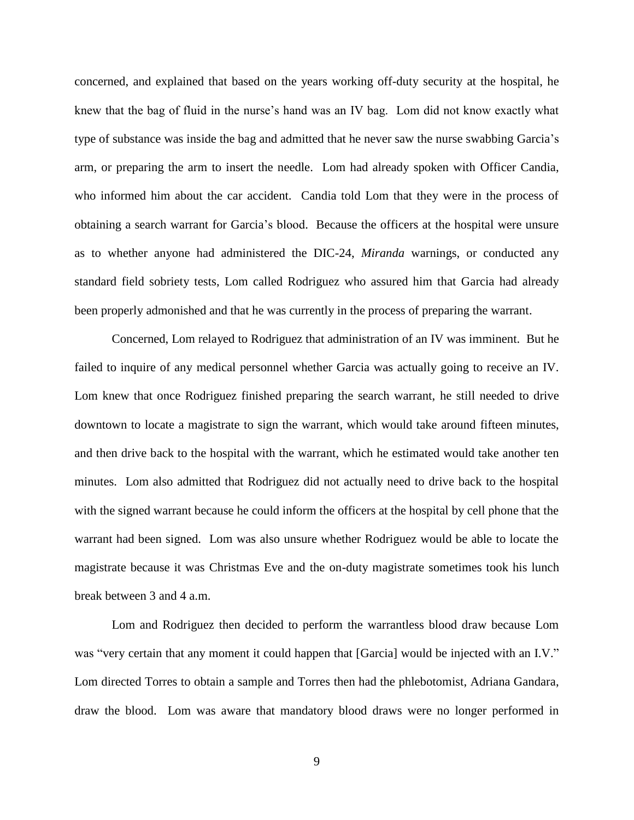concerned, and explained that based on the years working off-duty security at the hospital, he knew that the bag of fluid in the nurse's hand was an IV bag. Lom did not know exactly what type of substance was inside the bag and admitted that he never saw the nurse swabbing Garcia's arm, or preparing the arm to insert the needle. Lom had already spoken with Officer Candia, who informed him about the car accident. Candia told Lom that they were in the process of obtaining a search warrant for Garcia's blood. Because the officers at the hospital were unsure as to whether anyone had administered the DIC-24, *Miranda* warnings, or conducted any standard field sobriety tests, Lom called Rodriguez who assured him that Garcia had already been properly admonished and that he was currently in the process of preparing the warrant.

Concerned, Lom relayed to Rodriguez that administration of an IV was imminent. But he failed to inquire of any medical personnel whether Garcia was actually going to receive an IV. Lom knew that once Rodriguez finished preparing the search warrant, he still needed to drive downtown to locate a magistrate to sign the warrant, which would take around fifteen minutes, and then drive back to the hospital with the warrant, which he estimated would take another ten minutes. Lom also admitted that Rodriguez did not actually need to drive back to the hospital with the signed warrant because he could inform the officers at the hospital by cell phone that the warrant had been signed. Lom was also unsure whether Rodriguez would be able to locate the magistrate because it was Christmas Eve and the on-duty magistrate sometimes took his lunch break between 3 and 4 a.m.

Lom and Rodriguez then decided to perform the warrantless blood draw because Lom was "very certain that any moment it could happen that [Garcia] would be injected with an I.V." Lom directed Torres to obtain a sample and Torres then had the phlebotomist, Adriana Gandara, draw the blood. Lom was aware that mandatory blood draws were no longer performed in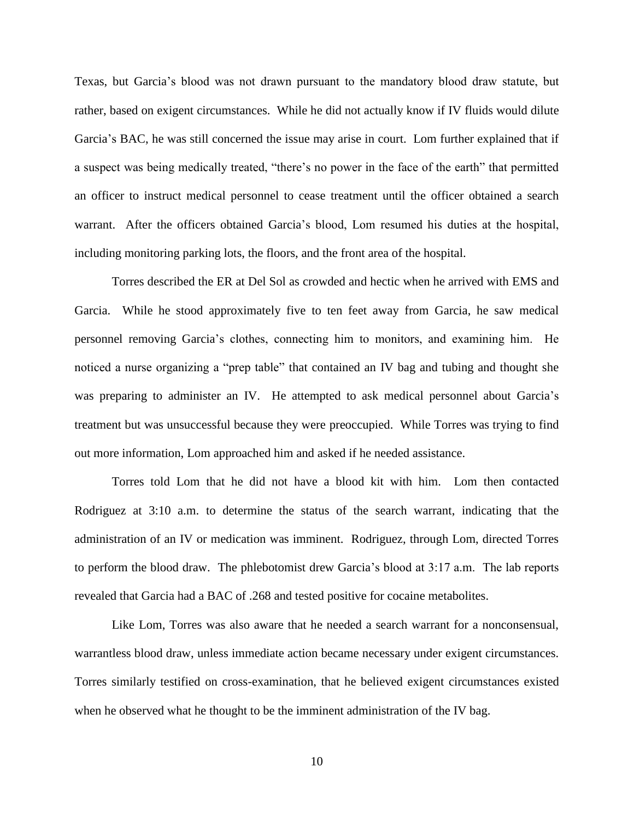Texas, but Garcia's blood was not drawn pursuant to the mandatory blood draw statute, but rather, based on exigent circumstances. While he did not actually know if IV fluids would dilute Garcia's BAC, he was still concerned the issue may arise in court. Lom further explained that if a suspect was being medically treated, "there's no power in the face of the earth" that permitted an officer to instruct medical personnel to cease treatment until the officer obtained a search warrant. After the officers obtained Garcia's blood, Lom resumed his duties at the hospital, including monitoring parking lots, the floors, and the front area of the hospital.

Torres described the ER at Del Sol as crowded and hectic when he arrived with EMS and Garcia. While he stood approximately five to ten feet away from Garcia, he saw medical personnel removing Garcia's clothes, connecting him to monitors, and examining him. He noticed a nurse organizing a "prep table" that contained an IV bag and tubing and thought she was preparing to administer an IV. He attempted to ask medical personnel about Garcia's treatment but was unsuccessful because they were preoccupied. While Torres was trying to find out more information, Lom approached him and asked if he needed assistance.

Torres told Lom that he did not have a blood kit with him. Lom then contacted Rodriguez at 3:10 a.m. to determine the status of the search warrant, indicating that the administration of an IV or medication was imminent. Rodriguez, through Lom, directed Torres to perform the blood draw. The phlebotomist drew Garcia's blood at 3:17 a.m. The lab reports revealed that Garcia had a BAC of .268 and tested positive for cocaine metabolites.

Like Lom, Torres was also aware that he needed a search warrant for a nonconsensual, warrantless blood draw, unless immediate action became necessary under exigent circumstances. Torres similarly testified on cross-examination, that he believed exigent circumstances existed when he observed what he thought to be the imminent administration of the IV bag.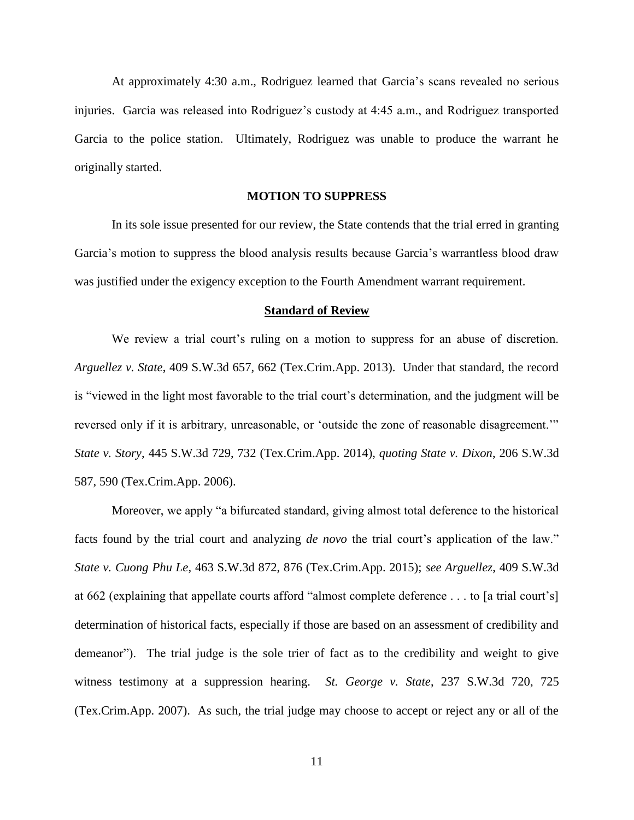At approximately 4:30 a.m., Rodriguez learned that Garcia's scans revealed no serious injuries. Garcia was released into Rodriguez's custody at 4:45 a.m., and Rodriguez transported Garcia to the police station. Ultimately, Rodriguez was unable to produce the warrant he originally started.

## **MOTION TO SUPPRESS**

In its sole issue presented for our review, the State contends that the trial erred in granting Garcia's motion to suppress the blood analysis results because Garcia's warrantless blood draw was justified under the exigency exception to the Fourth Amendment warrant requirement.

#### **Standard of Review**

We review a trial court's ruling on a motion to suppress for an abuse of discretion. *Arguellez v. State*, 409 S.W.3d 657, 662 (Tex.Crim.App. 2013). Under that standard, the record is "viewed in the light most favorable to the trial court's determination, and the judgment will be reversed only if it is arbitrary, unreasonable, or 'outside the zone of reasonable disagreement.'" *State v. Story*, 445 S.W.3d 729, 732 (Tex.Crim.App. 2014), *quoting State v. Dixon*, 206 S.W.3d 587, 590 (Tex.Crim.App. 2006).

Moreover, we apply "a bifurcated standard, giving almost total deference to the historical facts found by the trial court and analyzing *de novo* the trial court's application of the law." *State v. Cuong Phu Le*, 463 S.W.3d 872, 876 (Tex.Crim.App. 2015); *see Arguellez*, 409 S.W.3d at 662 (explaining that appellate courts afford "almost complete deference . . . to [a trial court's] determination of historical facts, especially if those are based on an assessment of credibility and demeanor"). The trial judge is the sole trier of fact as to the credibility and weight to give witness testimony at a suppression hearing. *St. George v. State*, 237 S.W.3d 720, 725 (Tex.Crim.App. 2007). As such, the trial judge may choose to accept or reject any or all of the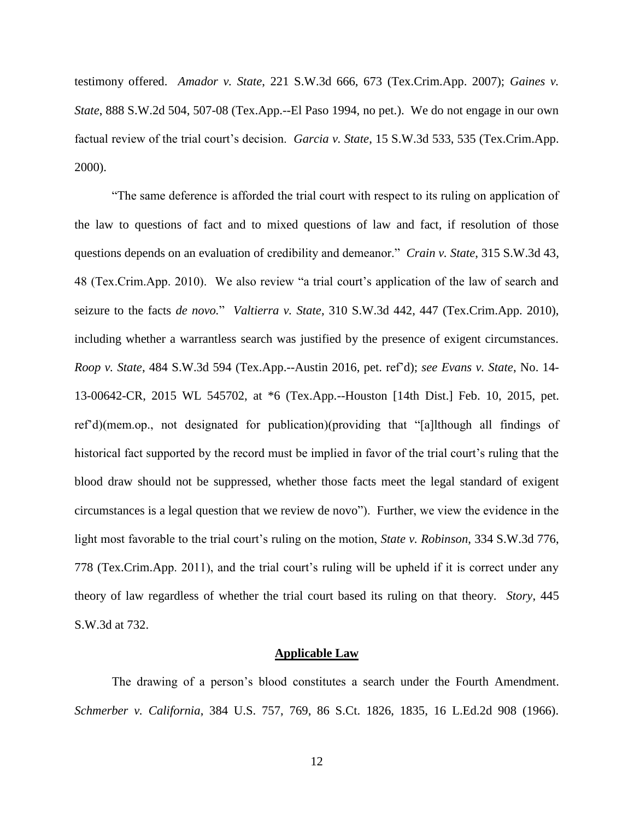testimony offered. *Amador v. State*, 221 S.W.3d 666, 673 (Tex.Crim.App. 2007); *Gaines v. State*, 888 S.W.2d 504, 507-08 (Tex.App.--El Paso 1994, no pet.). We do not engage in our own factual review of the trial court's decision. *Garcia v. State*, 15 S.W.3d 533, 535 (Tex.Crim.App. 2000).

"The same deference is afforded the trial court with respect to its ruling on application of the law to questions of fact and to mixed questions of law and fact, if resolution of those questions depends on an evaluation of credibility and demeanor." *Crain v. State*, 315 S.W.3d 43, 48 (Tex.Crim.App. 2010). We also review "a trial court's application of the law of search and seizure to the facts *de novo.*" *Valtierra v. State*, 310 S.W.3d 442, 447 (Tex.Crim.App. 2010), including whether a warrantless search was justified by the presence of exigent circumstances. *Roop v. State*, 484 S.W.3d 594 (Tex.App.--Austin 2016, pet. ref'd); *see Evans v. State*, No. 14- 13-00642-CR, 2015 WL 545702, at \*6 (Tex.App.--Houston [14th Dist.] Feb. 10, 2015, pet. ref'd)(mem.op., not designated for publication)(providing that "[a]lthough all findings of historical fact supported by the record must be implied in favor of the trial court's ruling that the blood draw should not be suppressed, whether those facts meet the legal standard of exigent circumstances is a legal question that we review de novo"). Further, we view the evidence in the light most favorable to the trial court's ruling on the motion, *State v. Robinson*, 334 S.W.3d 776, 778 (Tex.Crim.App. 2011), and the trial court's ruling will be upheld if it is correct under any theory of law regardless of whether the trial court based its ruling on that theory. *Story*, 445 S.W.3d at 732.

#### **Applicable Law**

The drawing of a person's blood constitutes a search under the Fourth Amendment. *Schmerber v. California*, 384 U.S. 757, 769, 86 S.Ct. 1826, 1835, 16 L.Ed.2d 908 (1966).

12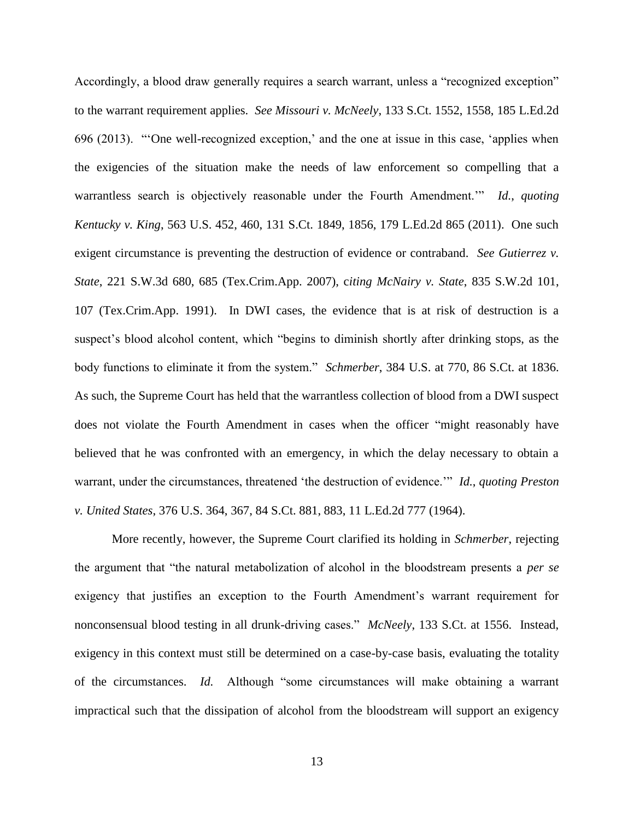Accordingly, a blood draw generally requires a search warrant, unless a "recognized exception" to the warrant requirement applies. *See Missouri v. McNeely*, 133 S.Ct. 1552, 1558, 185 L.Ed.2d 696 (2013). "'One well-recognized exception,' and the one at issue in this case, 'applies when the exigencies of the situation make the needs of law enforcement so compelling that a warrantless search is objectively reasonable under the Fourth Amendment.'" *Id.*, *quoting Kentucky v. King*, 563 U.S. 452, 460, 131 S.Ct. 1849, 1856, 179 L.Ed.2d 865 (2011). One such exigent circumstance is preventing the destruction of evidence or contraband. *See Gutierrez v. State*, 221 S.W.3d 680, 685 (Tex.Crim.App. 2007), c*iting McNairy v. State*, 835 S.W.2d 101, 107 (Tex.Crim.App. 1991). In DWI cases, the evidence that is at risk of destruction is a suspect's blood alcohol content, which "begins to diminish shortly after drinking stops, as the body functions to eliminate it from the system." *Schmerber*, 384 U.S. at 770, 86 S.Ct. at 1836. As such, the Supreme Court has held that the warrantless collection of blood from a DWI suspect does not violate the Fourth Amendment in cases when the officer "might reasonably have believed that he was confronted with an emergency, in which the delay necessary to obtain a warrant, under the circumstances, threatened 'the destruction of evidence.'" *Id.*, *quoting Preston v. United States*, 376 U.S. 364, 367, 84 S.Ct. 881, 883, 11 L.Ed.2d 777 (1964).

More recently, however, the Supreme Court clarified its holding in *Schmerber*, rejecting the argument that "the natural metabolization of alcohol in the bloodstream presents a *per se* exigency that justifies an exception to the Fourth Amendment's warrant requirement for nonconsensual blood testing in all drunk-driving cases." *McNeely*, 133 S.Ct. at 1556. Instead, exigency in this context must still be determined on a case-by-case basis, evaluating the totality of the circumstances. *Id.* Although "some circumstances will make obtaining a warrant impractical such that the dissipation of alcohol from the bloodstream will support an exigency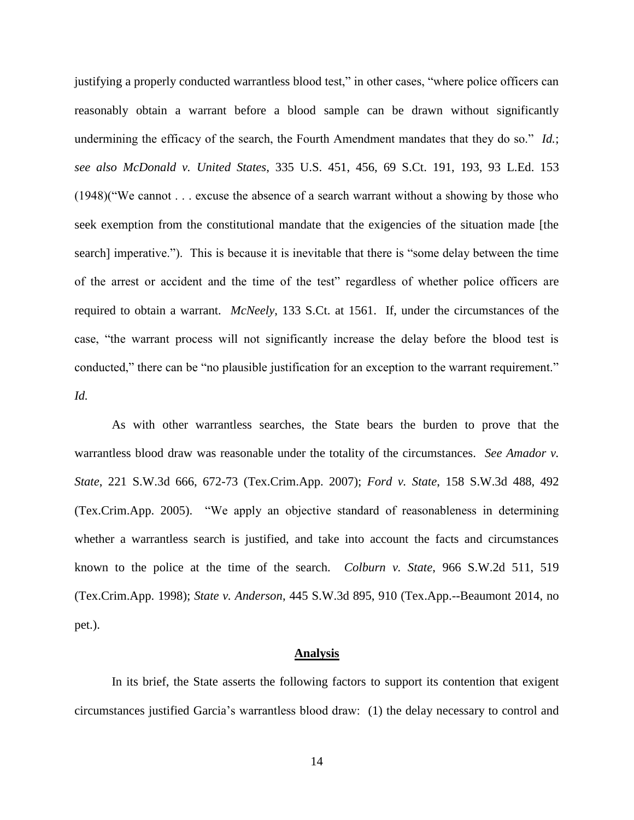justifying a properly conducted warrantless blood test," in other cases, "where police officers can reasonably obtain a warrant before a blood sample can be drawn without significantly undermining the efficacy of the search, the Fourth Amendment mandates that they do so." *Id.*; *see also McDonald v. United States*, 335 U.S. 451, 456, 69 S.Ct. 191, 193, 93 L.Ed. 153 (1948)("We cannot . . . excuse the absence of a search warrant without a showing by those who seek exemption from the constitutional mandate that the exigencies of the situation made [the search] imperative."). This is because it is inevitable that there is "some delay between the time of the arrest or accident and the time of the test" regardless of whether police officers are required to obtain a warrant. *McNeely*, 133 S.Ct. at 1561. If, under the circumstances of the case, "the warrant process will not significantly increase the delay before the blood test is conducted," there can be "no plausible justification for an exception to the warrant requirement." *Id.*

As with other warrantless searches, the State bears the burden to prove that the warrantless blood draw was reasonable under the totality of the circumstances. *See Amador v. State*, 221 S.W.3d 666, 672-73 (Tex.Crim.App. 2007); *Ford v. State*, 158 S.W.3d 488, 492 (Tex.Crim.App. 2005). "We apply an objective standard of reasonableness in determining whether a warrantless search is justified, and take into account the facts and circumstances known to the police at the time of the search. *Colburn v. State*, 966 S.W.2d 511, 519 (Tex.Crim.App. 1998); *State v. Anderson*, 445 S.W.3d 895, 910 (Tex.App.--Beaumont 2014, no pet.).

#### **Analysis**

In its brief, the State asserts the following factors to support its contention that exigent circumstances justified Garcia's warrantless blood draw: (1) the delay necessary to control and

14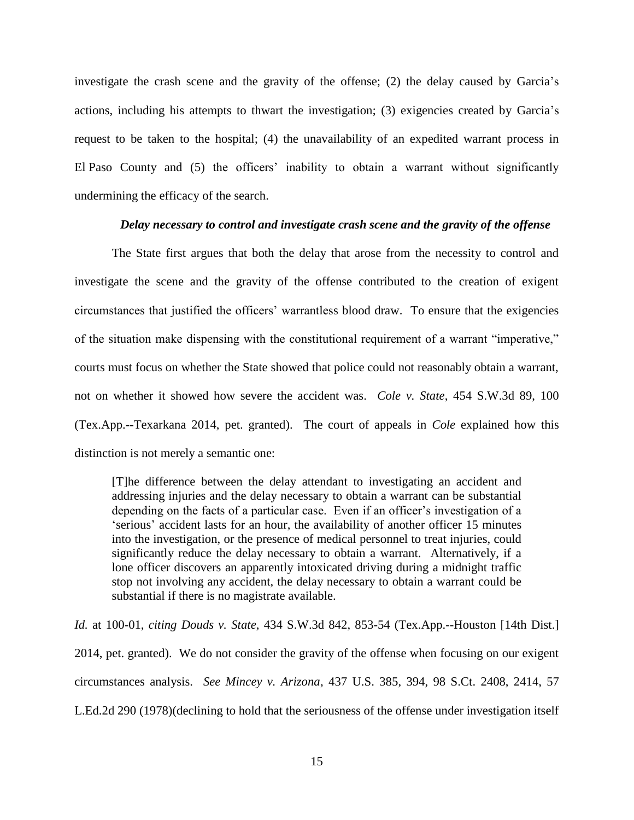investigate the crash scene and the gravity of the offense; (2) the delay caused by Garcia's actions, including his attempts to thwart the investigation; (3) exigencies created by Garcia's request to be taken to the hospital; (4) the unavailability of an expedited warrant process in El Paso County and (5) the officers' inability to obtain a warrant without significantly undermining the efficacy of the search.

### *Delay necessary to control and investigate crash scene and the gravity of the offense*

The State first argues that both the delay that arose from the necessity to control and investigate the scene and the gravity of the offense contributed to the creation of exigent circumstances that justified the officers' warrantless blood draw. To ensure that the exigencies of the situation make dispensing with the constitutional requirement of a warrant "imperative," courts must focus on whether the State showed that police could not reasonably obtain a warrant, not on whether it showed how severe the accident was. *Cole v. State*, 454 S.W.3d 89, 100 (Tex.App.--Texarkana 2014, pet. granted). The court of appeals in *Cole* explained how this distinction is not merely a semantic one:

[T]he difference between the delay attendant to investigating an accident and addressing injuries and the delay necessary to obtain a warrant can be substantial depending on the facts of a particular case. Even if an officer's investigation of a 'serious' accident lasts for an hour, the availability of another officer 15 minutes into the investigation, or the presence of medical personnel to treat injuries, could significantly reduce the delay necessary to obtain a warrant. Alternatively, if a lone officer discovers an apparently intoxicated driving during a midnight traffic stop not involving any accident, the delay necessary to obtain a warrant could be substantial if there is no magistrate available.

*Id.* at 100-01, *citing Douds v. State*, 434 S.W.3d 842, 853-54 (Tex.App.--Houston [14th Dist.] 2014, pet. granted). We do not consider the gravity of the offense when focusing on our exigent circumstances analysis. *See Mincey v. Arizona*, 437 U.S. 385, 394, 98 S.Ct. 2408, 2414, 57 L.Ed.2d 290 (1978)(declining to hold that the seriousness of the offense under investigation itself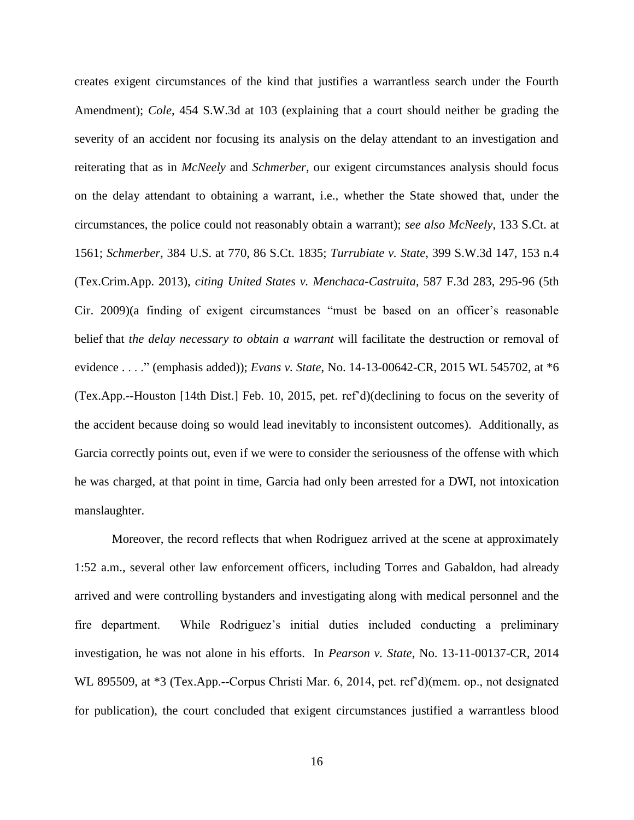creates exigent circumstances of the kind that justifies a warrantless search under the Fourth Amendment); *Cole*, 454 S.W.3d at 103 (explaining that a court should neither be grading the severity of an accident nor focusing its analysis on the delay attendant to an investigation and reiterating that as in *McNeely* and *Schmerber*, our exigent circumstances analysis should focus on the delay attendant to obtaining a warrant, i.e., whether the State showed that, under the circumstances, the police could not reasonably obtain a warrant); *see also McNeely*, 133 S.Ct. at 1561; *Schmerber*, 384 U.S. at 770, 86 S.Ct. 1835; *Turrubiate v. State*, 399 S.W.3d 147, 153 n.4 (Tex.Crim.App. 2013), *citing United States v. Menchaca-Castruita*, 587 F.3d 283, 295-96 (5th Cir. 2009)(a finding of exigent circumstances "must be based on an officer's reasonable belief that *the delay necessary to obtain a warrant* will facilitate the destruction or removal of evidence . . . ." (emphasis added)); *Evans v. State*, No. 14-13-00642-CR, 2015 WL 545702, at \*6 (Tex.App.--Houston [14th Dist.] Feb. 10, 2015, pet. ref'd)(declining to focus on the severity of the accident because doing so would lead inevitably to inconsistent outcomes). Additionally, as Garcia correctly points out, even if we were to consider the seriousness of the offense with which he was charged, at that point in time, Garcia had only been arrested for a DWI, not intoxication manslaughter.

Moreover, the record reflects that when Rodriguez arrived at the scene at approximately 1:52 a.m., several other law enforcement officers, including Torres and Gabaldon, had already arrived and were controlling bystanders and investigating along with medical personnel and the fire department. While Rodriguez's initial duties included conducting a preliminary investigation, he was not alone in his efforts. In *Pearson v. State*, No. 13-11-00137-CR, 2014 WL 895509, at \*3 (Tex.App.--Corpus Christi Mar. 6, 2014, pet. ref'd)(mem. op., not designated for publication), the court concluded that exigent circumstances justified a warrantless blood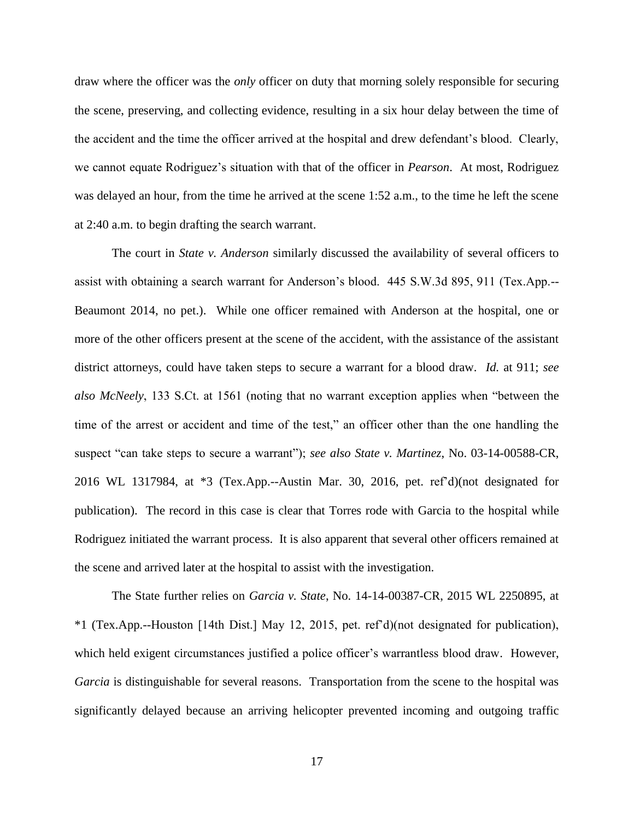draw where the officer was the *only* officer on duty that morning solely responsible for securing the scene, preserving, and collecting evidence, resulting in a six hour delay between the time of the accident and the time the officer arrived at the hospital and drew defendant's blood. Clearly, we cannot equate Rodriguez's situation with that of the officer in *Pearson*. At most, Rodriguez was delayed an hour, from the time he arrived at the scene 1:52 a.m., to the time he left the scene at 2:40 a.m. to begin drafting the search warrant.

The court in *State v. Anderson* similarly discussed the availability of several officers to assist with obtaining a search warrant for Anderson's blood. 445 S.W.3d 895, 911 (Tex.App.-- Beaumont 2014, no pet.). While one officer remained with Anderson at the hospital, one or more of the other officers present at the scene of the accident, with the assistance of the assistant district attorneys, could have taken steps to secure a warrant for a blood draw. *Id.* at 911; *see also McNeely*, 133 S.Ct. at 1561 (noting that no warrant exception applies when "between the time of the arrest or accident and time of the test," an officer other than the one handling the suspect "can take steps to secure a warrant"); *see also State v. Martinez*, No. 03-14-00588-CR, 2016 WL 1317984, at \*3 (Tex.App.--Austin Mar. 30, 2016, pet. ref'd)(not designated for publication). The record in this case is clear that Torres rode with Garcia to the hospital while Rodriguez initiated the warrant process. It is also apparent that several other officers remained at the scene and arrived later at the hospital to assist with the investigation.

The State further relies on *Garcia v. State*, No. 14-14-00387-CR, 2015 WL 2250895, at \*1 (Tex.App.--Houston [14th Dist.] May 12, 2015, pet. ref'd)(not designated for publication), which held exigent circumstances justified a police officer's warrantless blood draw. However, *Garcia* is distinguishable for several reasons. Transportation from the scene to the hospital was significantly delayed because an arriving helicopter prevented incoming and outgoing traffic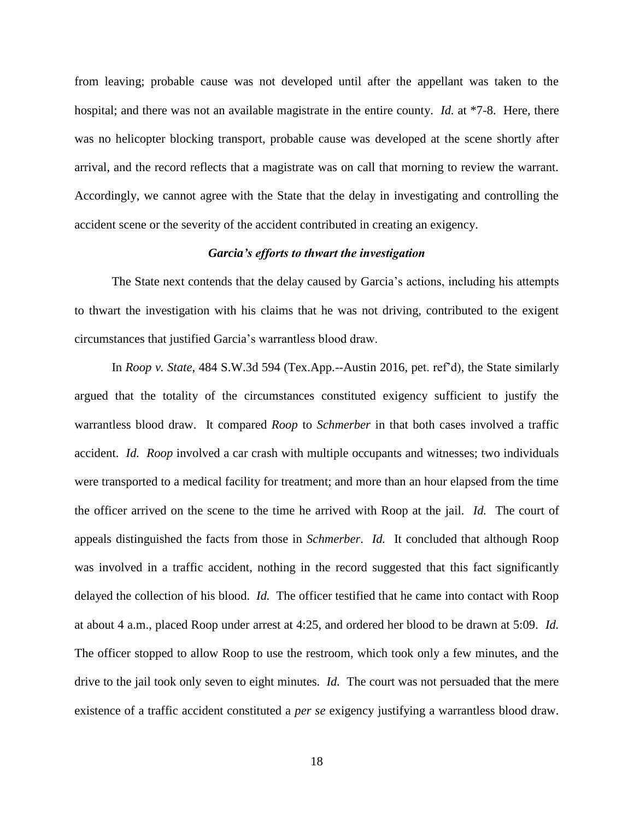from leaving; probable cause was not developed until after the appellant was taken to the hospital; and there was not an available magistrate in the entire county. *Id.* at \*7-8. Here, there was no helicopter blocking transport, probable cause was developed at the scene shortly after arrival, and the record reflects that a magistrate was on call that morning to review the warrant. Accordingly, we cannot agree with the State that the delay in investigating and controlling the accident scene or the severity of the accident contributed in creating an exigency.

## *Garcia's efforts to thwart the investigation*

The State next contends that the delay caused by Garcia's actions, including his attempts to thwart the investigation with his claims that he was not driving, contributed to the exigent circumstances that justified Garcia's warrantless blood draw.

In *Roop v. State*, 484 S.W.3d 594 (Tex.App.--Austin 2016, pet. ref'd), the State similarly argued that the totality of the circumstances constituted exigency sufficient to justify the warrantless blood draw. It compared *Roop* to *Schmerber* in that both cases involved a traffic accident. *Id. Roop* involved a car crash with multiple occupants and witnesses; two individuals were transported to a medical facility for treatment; and more than an hour elapsed from the time the officer arrived on the scene to the time he arrived with Roop at the jail. *Id.* The court of appeals distinguished the facts from those in *Schmerber*. *Id.* It concluded that although Roop was involved in a traffic accident, nothing in the record suggested that this fact significantly delayed the collection of his blood. *Id.* The officer testified that he came into contact with Roop at about 4 a.m., placed Roop under arrest at 4:25, and ordered her blood to be drawn at 5:09. *Id.* The officer stopped to allow Roop to use the restroom, which took only a few minutes, and the drive to the jail took only seven to eight minutes. *Id.* The court was not persuaded that the mere existence of a traffic accident constituted a *per se* exigency justifying a warrantless blood draw.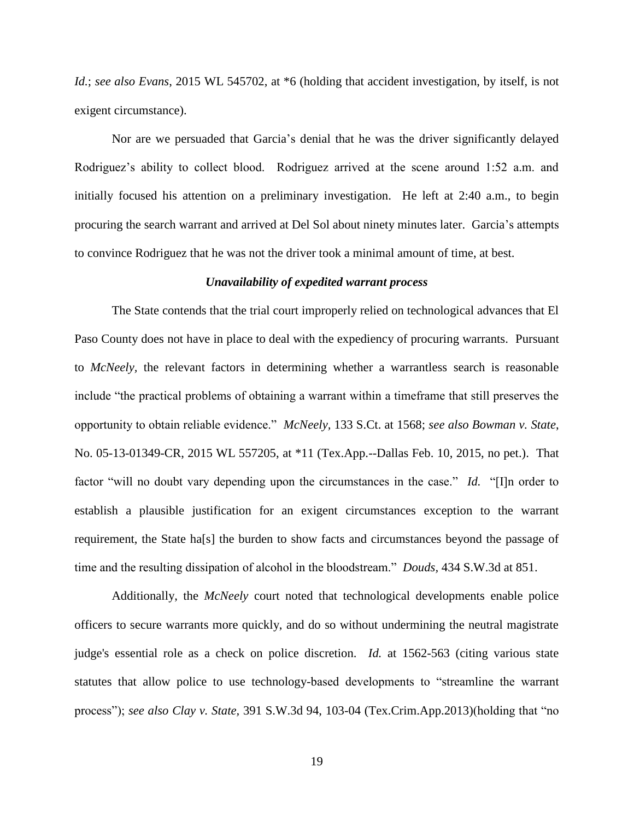*Id.*; *see also Evans*, 2015 WL 545702, at \*6 (holding that accident investigation, by itself, is not exigent circumstance).

Nor are we persuaded that Garcia's denial that he was the driver significantly delayed Rodriguez's ability to collect blood. Rodriguez arrived at the scene around 1:52 a.m. and initially focused his attention on a preliminary investigation. He left at 2:40 a.m., to begin procuring the search warrant and arrived at Del Sol about ninety minutes later. Garcia's attempts to convince Rodriguez that he was not the driver took a minimal amount of time, at best.

## *Unavailability of expedited warrant process*

The State contends that the trial court improperly relied on technological advances that El Paso County does not have in place to deal with the expediency of procuring warrants. Pursuant to *McNeely,* the relevant factors in determining whether a warrantless search is reasonable include "the practical problems of obtaining a warrant within a timeframe that still preserves the opportunity to obtain reliable evidence." *McNeely,* 133 S.Ct. at 1568; *see also Bowman v. State*, No. 05-13-01349-CR, 2015 WL 557205, at \*11 (Tex.App.--Dallas Feb. 10, 2015, no pet.). That factor "will no doubt vary depending upon the circumstances in the case." *Id.* "[I]n order to establish a plausible justification for an exigent circumstances exception to the warrant requirement, the State ha[s] the burden to show facts and circumstances beyond the passage of time and the resulting dissipation of alcohol in the bloodstream." *Douds,* 434 S.W.3d at 851.

Additionally, the *McNeely* court noted that technological developments enable police officers to secure warrants more quickly, and do so without undermining the neutral magistrate judge's essential role as a check on police discretion. *Id.* at 1562-563 (citing various state statutes that allow police to use technology-based developments to "streamline the warrant process"); *see also Clay v. State,* 391 S.W.3d 94, 103-04 (Tex.Crim.App.2013)(holding that "no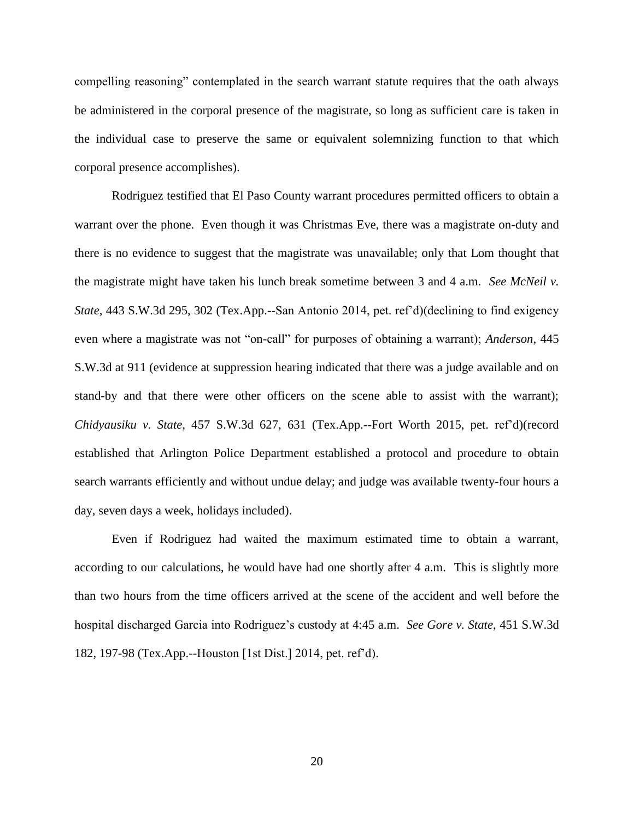compelling reasoning" contemplated in the search warrant statute requires that the oath always be administered in the corporal presence of the magistrate, so long as sufficient care is taken in the individual case to preserve the same or equivalent solemnizing function to that which corporal presence accomplishes).

Rodriguez testified that El Paso County warrant procedures permitted officers to obtain a warrant over the phone. Even though it was Christmas Eve, there was a magistrate on-duty and there is no evidence to suggest that the magistrate was unavailable; only that Lom thought that the magistrate might have taken his lunch break sometime between 3 and 4 a.m. *See McNeil v. State*, 443 S.W.3d 295, 302 (Tex.App.--San Antonio 2014, pet. ref'd)(declining to find exigency even where a magistrate was not "on-call" for purposes of obtaining a warrant); *Anderson*, 445 S.W.3d at 911 (evidence at suppression hearing indicated that there was a judge available and on stand-by and that there were other officers on the scene able to assist with the warrant); *Chidyausiku v. State*, 457 S.W.3d 627, 631 (Tex.App.--Fort Worth 2015, pet. ref'd)(record established that Arlington Police Department established a protocol and procedure to obtain search warrants efficiently and without undue delay; and judge was available twenty-four hours a day, seven days a week, holidays included).

Even if Rodriguez had waited the maximum estimated time to obtain a warrant, according to our calculations, he would have had one shortly after 4 a.m. This is slightly more than two hours from the time officers arrived at the scene of the accident and well before the hospital discharged Garcia into Rodriguez's custody at 4:45 a.m. *See Gore v. State*, 451 S.W.3d 182, 197-98 (Tex.App.--Houston [1st Dist.] 2014, pet. ref'd).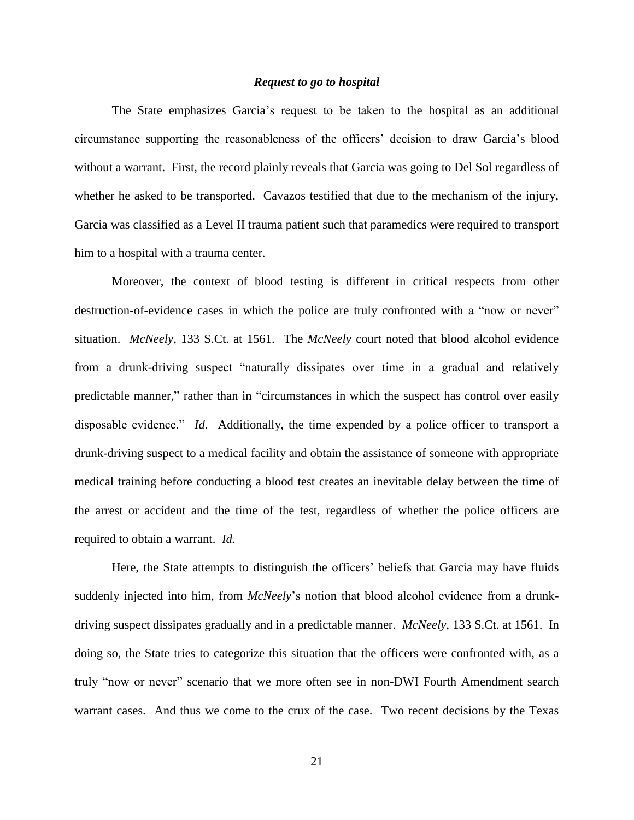#### *Request to go to hospital*

The State emphasizes Garcia's request to be taken to the hospital as an additional circumstance supporting the reasonableness of the officers' decision to draw Garcia's blood without a warrant. First, the record plainly reveals that Garcia was going to Del Sol regardless of whether he asked to be transported. Cavazos testified that due to the mechanism of the injury, Garcia was classified as a Level II trauma patient such that paramedics were required to transport him to a hospital with a trauma center.

Moreover, the context of blood testing is different in critical respects from other destruction-of-evidence cases in which the police are truly confronted with a "now or never" situation. *McNeely,* 133 S.Ct. at 1561. The *McNeely* court noted that blood alcohol evidence from a drunk-driving suspect "naturally dissipates over time in a gradual and relatively predictable manner," rather than in "circumstances in which the suspect has control over easily disposable evidence." *Id.* Additionally, the time expended by a police officer to transport a drunk-driving suspect to a medical facility and obtain the assistance of someone with appropriate medical training before conducting a blood test creates an inevitable delay between the time of the arrest or accident and the time of the test, regardless of whether the police officers are required to obtain a warrant. *Id.*

Here, the State attempts to distinguish the officers' beliefs that Garcia may have fluids suddenly injected into him, from *McNeely*'s notion that blood alcohol evidence from a drunkdriving suspect dissipates gradually and in a predictable manner. *McNeely*, 133 S.Ct. at 1561. In doing so, the State tries to categorize this situation that the officers were confronted with, as a truly "now or never" scenario that we more often see in non-DWI Fourth Amendment search warrant cases. And thus we come to the crux of the case. Two recent decisions by the Texas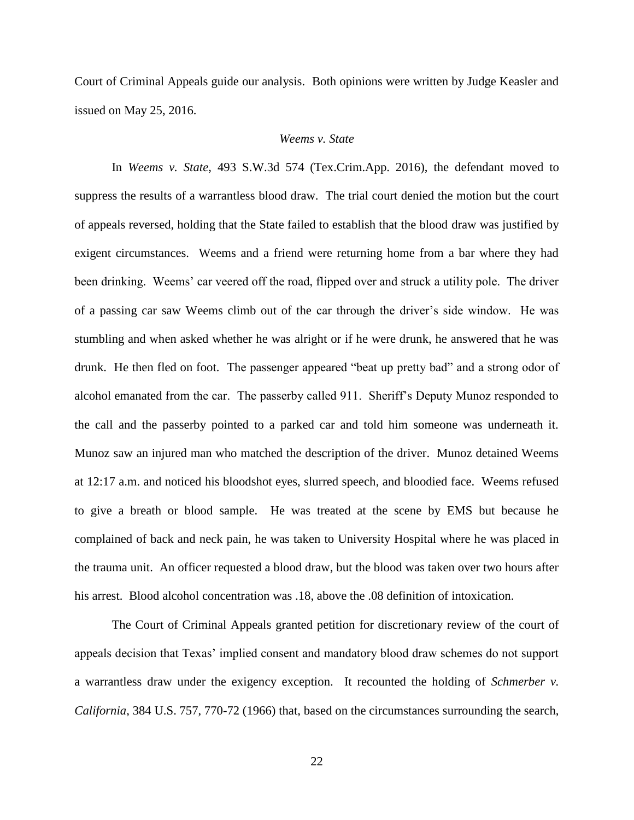Court of Criminal Appeals guide our analysis. Both opinions were written by Judge Keasler and issued on May 25, 2016.

## *Weems v. State*

In *Weems v. State*, 493 S.W.3d 574 (Tex.Crim.App. 2016), the defendant moved to suppress the results of a warrantless blood draw. The trial court denied the motion but the court of appeals reversed, holding that the State failed to establish that the blood draw was justified by exigent circumstances. Weems and a friend were returning home from a bar where they had been drinking. Weems' car veered off the road, flipped over and struck a utility pole. The driver of a passing car saw Weems climb out of the car through the driver's side window. He was stumbling and when asked whether he was alright or if he were drunk, he answered that he was drunk. He then fled on foot. The passenger appeared "beat up pretty bad" and a strong odor of alcohol emanated from the car. The passerby called 911. Sheriff's Deputy Munoz responded to the call and the passerby pointed to a parked car and told him someone was underneath it. Munoz saw an injured man who matched the description of the driver. Munoz detained Weems at 12:17 a.m. and noticed his bloodshot eyes, slurred speech, and bloodied face. Weems refused to give a breath or blood sample. He was treated at the scene by EMS but because he complained of back and neck pain, he was taken to University Hospital where he was placed in the trauma unit. An officer requested a blood draw, but the blood was taken over two hours after his arrest. Blood alcohol concentration was .18, above the .08 definition of intoxication.

The Court of Criminal Appeals granted petition for discretionary review of the court of appeals decision that Texas' implied consent and mandatory blood draw schemes do not support a warrantless draw under the exigency exception. It recounted the holding of *Schmerber v. California*, 384 U.S. 757, 770-72 (1966) that, based on the circumstances surrounding the search,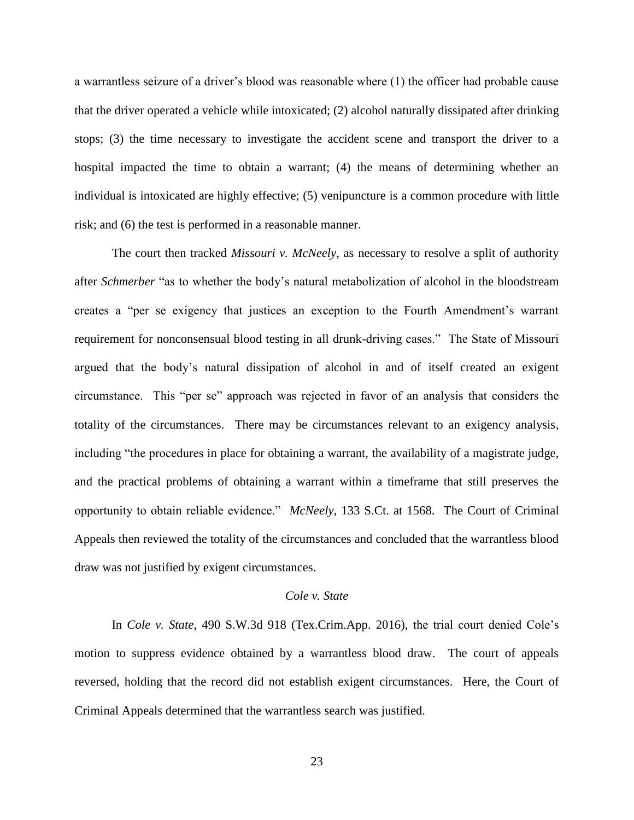a warrantless seizure of a driver's blood was reasonable where (1) the officer had probable cause that the driver operated a vehicle while intoxicated; (2) alcohol naturally dissipated after drinking stops; (3) the time necessary to investigate the accident scene and transport the driver to a hospital impacted the time to obtain a warrant; (4) the means of determining whether an individual is intoxicated are highly effective; (5) venipuncture is a common procedure with little risk; and (6) the test is performed in a reasonable manner.

The court then tracked *Missouri v. McNeely*, as necessary to resolve a split of authority after *Schmerber* "as to whether the body's natural metabolization of alcohol in the bloodstream creates a "per se exigency that justices an exception to the Fourth Amendment's warrant requirement for nonconsensual blood testing in all drunk-driving cases." The State of Missouri argued that the body's natural dissipation of alcohol in and of itself created an exigent circumstance. This "per se" approach was rejected in favor of an analysis that considers the totality of the circumstances. There may be circumstances relevant to an exigency analysis, including "the procedures in place for obtaining a warrant, the availability of a magistrate judge, and the practical problems of obtaining a warrant within a timeframe that still preserves the opportunity to obtain reliable evidence." *McNeely*, 133 S.Ct. at 1568. The Court of Criminal Appeals then reviewed the totality of the circumstances and concluded that the warrantless blood draw was not justified by exigent circumstances.

## *Cole v. State*

In *Cole v. State,* 490 S.W.3d 918 (Tex.Crim.App. 2016), the trial court denied Cole's motion to suppress evidence obtained by a warrantless blood draw. The court of appeals reversed, holding that the record did not establish exigent circumstances. Here, the Court of Criminal Appeals determined that the warrantless search was justified.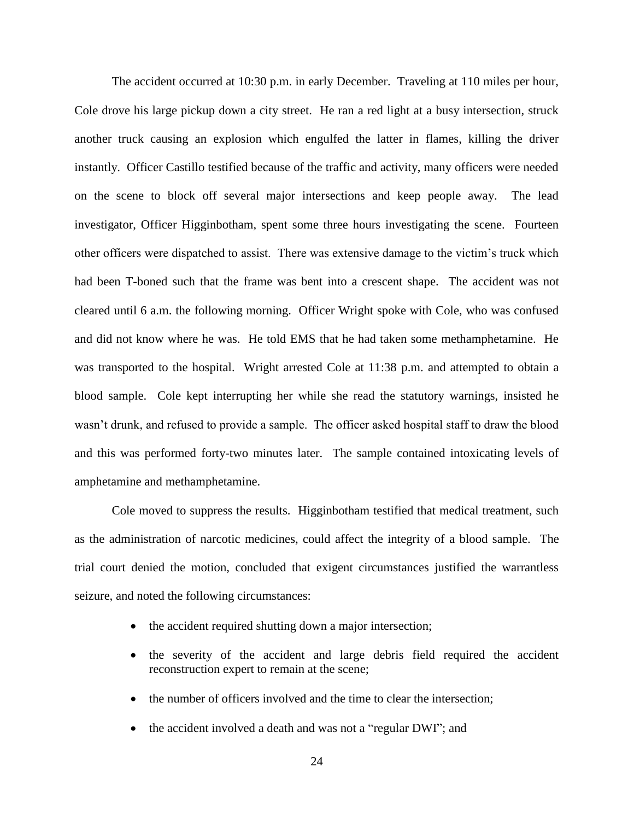The accident occurred at 10:30 p.m. in early December. Traveling at 110 miles per hour, Cole drove his large pickup down a city street. He ran a red light at a busy intersection, struck another truck causing an explosion which engulfed the latter in flames, killing the driver instantly. Officer Castillo testified because of the traffic and activity, many officers were needed on the scene to block off several major intersections and keep people away. The lead investigator, Officer Higginbotham, spent some three hours investigating the scene. Fourteen other officers were dispatched to assist. There was extensive damage to the victim's truck which had been T-boned such that the frame was bent into a crescent shape. The accident was not cleared until 6 a.m. the following morning. Officer Wright spoke with Cole, who was confused and did not know where he was. He told EMS that he had taken some methamphetamine. He was transported to the hospital. Wright arrested Cole at 11:38 p.m. and attempted to obtain a blood sample. Cole kept interrupting her while she read the statutory warnings, insisted he wasn't drunk, and refused to provide a sample. The officer asked hospital staff to draw the blood and this was performed forty-two minutes later. The sample contained intoxicating levels of amphetamine and methamphetamine.

Cole moved to suppress the results. Higginbotham testified that medical treatment, such as the administration of narcotic medicines, could affect the integrity of a blood sample. The trial court denied the motion, concluded that exigent circumstances justified the warrantless seizure, and noted the following circumstances:

- the accident required shutting down a major intersection;
- the severity of the accident and large debris field required the accident reconstruction expert to remain at the scene;
- the number of officers involved and the time to clear the intersection;
- the accident involved a death and was not a "regular DWI"; and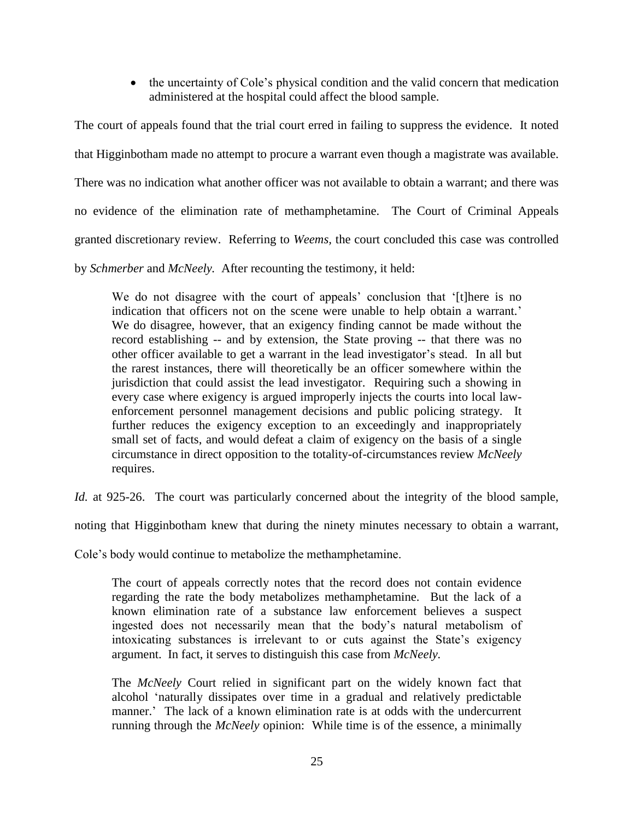• the uncertainty of Cole's physical condition and the valid concern that medication administered at the hospital could affect the blood sample.

The court of appeals found that the trial court erred in failing to suppress the evidence. It noted that Higginbotham made no attempt to procure a warrant even though a magistrate was available. There was no indication what another officer was not available to obtain a warrant; and there was no evidence of the elimination rate of methamphetamine. The Court of Criminal Appeals granted discretionary review. Referring to *Weems,* the court concluded this case was controlled

by *Schmerber* and *McNeely.* After recounting the testimony, it held:

We do not disagree with the court of appeals' conclusion that '[t]here is no indication that officers not on the scene were unable to help obtain a warrant.' We do disagree, however, that an exigency finding cannot be made without the record establishing -- and by extension, the State proving -- that there was no other officer available to get a warrant in the lead investigator's stead. In all but the rarest instances, there will theoretically be an officer somewhere within the jurisdiction that could assist the lead investigator. Requiring such a showing in every case where exigency is argued improperly injects the courts into local lawenforcement personnel management decisions and public policing strategy. It further reduces the exigency exception to an exceedingly and inappropriately small set of facts, and would defeat a claim of exigency on the basis of a single circumstance in direct opposition to the totality-of-circumstances review *McNeely* requires.

*Id.* at 925-26. The court was particularly concerned about the integrity of the blood sample,

noting that Higginbotham knew that during the ninety minutes necessary to obtain a warrant,

Cole's body would continue to metabolize the methamphetamine.

The court of appeals correctly notes that the record does not contain evidence regarding the rate the body metabolizes methamphetamine. But the lack of a known elimination rate of a substance law enforcement believes a suspect ingested does not necessarily mean that the body's natural metabolism of intoxicating substances is irrelevant to or cuts against the State's exigency argument. In fact, it serves to distinguish this case from *McNeely.*

The *McNeely* Court relied in significant part on the widely known fact that alcohol 'naturally dissipates over time in a gradual and relatively predictable manner.' The lack of a known elimination rate is at odds with the undercurrent running through the *McNeely* opinion: While time is of the essence, a minimally